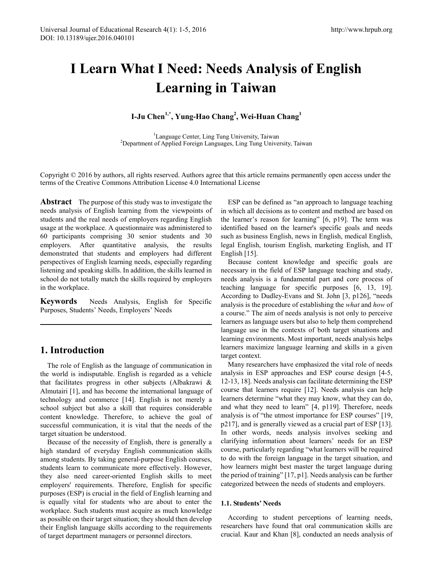# **I Learn What I Need: Needs Analysis of English Learning in Taiwan**

**I-Ju Chen1,\*, Yung-Hao Chang2 , Wei-Huan Chang<sup>1</sup>**

<sup>1</sup> Language Center, Ling Tung University, Taiwan<sup>2</sup> Department of Applied Ecraign Languages, Ling Tung Univers <sup>2</sup>Department of Applied Foreign Languages, Ling Tung University, Taiwan

Copyright © 2016 by authors, all rights reserved. Authors agree that this article remains permanently open access under the terms of the Creative Commons Attribution License 4.0 International License

**Abstract** The purpose of this study was to investigate the needs analysis of English learning from the viewpoints of students and the real needs of employers regarding English usage at the workplace. A questionnaire was administered to 60 participants comprising 30 senior students and 30 employers. After quantitative analysis, the results demonstrated that students and employers had different perspectives of English learning needs, especially regarding listening and speaking skills. In addition, the skills learned in school do not totally match the skills required by employers in the workplace.

**Keywords** Needs Analysis, English for Specific Purposes, Students' Needs, Employers' Needs

# **1. Introduction**

The role of English as the language of communication in the world is indisputable. English is regarded as a vehicle that facilitates progress in other subjects (Albakrawi & Almutairi [1], and has become the international language of technology and commerce [14]. English is not merely a school subject but also a skill that requires considerable content knowledge. Therefore, to achieve the goal of successful communication, it is vital that the needs of the target situation be understood.

Because of the necessity of English, there is generally a high standard of everyday English communication skills among students. By taking general-purpose English courses, students learn to communicate more effectively. However, they also need career-oriented English skills to meet employers' requirements. Therefore, English for specific purposes (ESP) is crucial in the field of English learning and is equally vital for students who are about to enter the workplace. Such students must acquire as much knowledge as possible on their target situation; they should then develop their English language skills according to the requirements of target department managers or personnel directors.

ESP can be defined as "an approach to language teaching in which all decisions as to content and method are based on the learner's reason for learning" [6, p19]. The term was identified based on the learner's specific goals and needs such as business English, news in English, medical English, legal English, tourism English, marketing English, and IT English [15].

Because content knowledge and specific goals are necessary in the field of ESP language teaching and study, needs analysis is a fundamental part and core process of teaching language for specific purposes [6, 13, 19]. According to Dudley-Evans and St. John [3, p126], "needs analysis is the procedure of establishing the *what* and *how* of a course." The aim of needs analysis is not only to perceive learners as language users but also to help them comprehend language use in the contexts of both target situations and learning environments. Most important, needs analysis helps learners maximize language learning and skills in a given target context.

Many researchers have emphasized the vital role of needs analysis in ESP approaches and ESP course design [4-5, 12-13, 18]. Needs analysis can facilitate determining the ESP course that learners require [12]. Needs analysis can help learners determine "what they may know, what they can do, and what they need to learn" [4, p119]. Therefore, needs analysis is of "the utmost importance for ESP courses" [19, p217], and is generally viewed as a crucial part of ESP [13]. In other words, needs analysis involves seeking and clarifying information about learners' needs for an ESP course, particularly regarding "what learners will be required to do with the foreign language in the target situation, and how learners might best master the target language during the period of training" [17, p1]. Needs analysis can be further categorized between the needs of students and employers.

## **1.1. Students' Needs**

According to student perceptions of learning needs, researchers have found that oral communication skills are crucial. Kaur and Khan [8], conducted an needs analysis of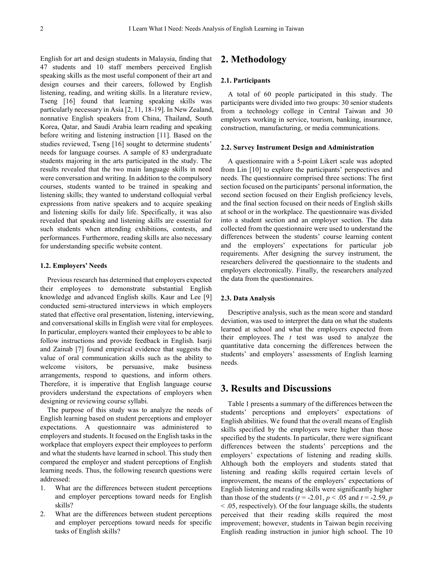English for art and design students in Malaysia, finding that 47 students and 10 staff members perceived English speaking skills as the most useful component of their art and design courses and their careers, followed by English listening, reading, and writing skills. In a literature review, Tseng [16] found that learning speaking skills was particularly necessary in Asia [2, 11, 18-19]. In New Zealand, nonnative English speakers from China, Thailand, South Korea, Qatar, and Saudi Arabia learn reading and speaking before writing and listening instruction [11]. Based on the studies reviewed, Tseng [16] sought to determine students' needs for language courses. A sample of 83 undergraduate students majoring in the arts participated in the study. The results revealed that the two main language skills in need were conversation and writing. In addition to the compulsory courses, students wanted to be trained in speaking and listening skills; they wanted to understand colloquial verbal expressions from native speakers and to acquire speaking and listening skills for daily life. Specifically, it was also revealed that speaking and listening skills are essential for such students when attending exhibitions, contests, and performances. Furthermore, reading skills are also necessary for understanding specific website content.

### **1.2. Employers' Needs**

Previous research has determined that employers expected their employees to demonstrate substantial English knowledge and advanced English skills. Kaur and Lee [9] conducted semi-structured interviews in which employers stated that effective oral presentation, listening, interviewing, and conversational skills in English were vital for employees. In particular, employers wanted their employees to be able to follow instructions and provide feedback in English. Isarji and Zainab [7] found empirical evidence that suggests the value of oral communication skills such as the ability to welcome visitors, be persuasive, make business arrangements, respond to questions, and inform others. Therefore, it is imperative that English language course providers understand the expectations of employers when designing or reviewing course syllabi.

The purpose of this study was to analyze the needs of English learning based on student perceptions and employer expectations. A questionnaire was administered to employers and students. It focused on the English tasks in the workplace that employers expect their employees to perform and what the students have learned in school. This study then compared the employer and student perceptions of English learning needs. Thus, the following research questions were addressed:

- 1. What are the differences between student perceptions and employer perceptions toward needs for English skills?
- 2. What are the differences between student perceptions and employer perceptions toward needs for specific tasks of English skills?

## **2. Methodology**

### **2.1. Participants**

A total of 60 people participated in this study. The participants were divided into two groups: 30 senior students from a technology college in Central Taiwan and 30 employers working in service, tourism, banking, insurance, construction, manufacturing, or media communications.

#### **2.2. Survey Instrument Design and Administration**

A questionnaire with a 5-point Likert scale was adopted from Lin [10] to explore the participants' perspectives and needs. The questionnaire comprised three sections: The first section focused on the participants' personal information, the second section focused on their English proficiency levels, and the final section focused on their needs of English skills at school or in the workplace. The questionnaire was divided into a student section and an employer section. The data collected from the questionnaire were used to understand the differences between the students' course learning content and the employers' expectations for particular job requirements. After designing the survey instrument, the researchers delivered the questionnaire to the students and employers electronically. Finally, the researchers analyzed the data from the questionnaires.

#### **2.3. Data Analysis**

Descriptive analysis, such as the mean score and standard deviation, was used to interpret the data on what the students learned at school and what the employers expected from their employees. The *t* test was used to analyze the quantitative data concerning the differences between the students' and employers' assessments of English learning needs.

## **3. Results and Discussions**

Table 1 presents a summary of the differences between the students' perceptions and employers' expectations of English abilities. We found that the overall means of English skills specified by the employers were higher than those specified by the students. In particular, there were significant differences between the students' perceptions and the employers' expectations of listening and reading skills. Although both the employers and students stated that listening and reading skills required certain levels of improvement, the means of the employers' expectations of English listening and reading skills were significantly higher than those of the students ( $t = -2.01$ ,  $p < .05$  and  $t = -2.59$ ,  $p$ < .05, respectively). Of the four language skills, the students perceived that their reading skills required the most improvement; however, students in Taiwan begin receiving English reading instruction in junior high school. The 10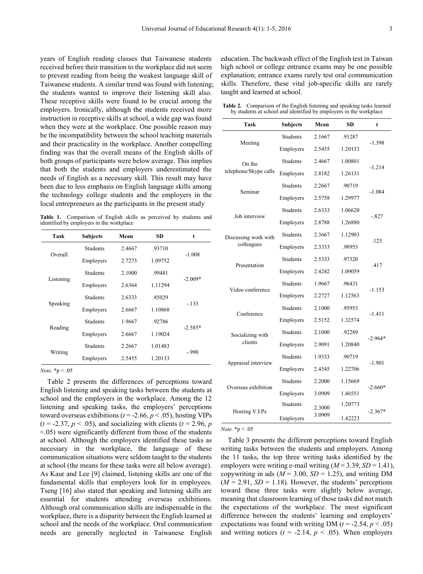years of English reading classes that Taiwanese students received before their transition to the workplace did not seem to prevent reading from being the weakest language skill of Taiwanese students. A similar trend was found with listening; the students wanted to improve their listening skill also. These receptive skills were found to be crucial among the employers. Ironically, although the students received more instruction in receptive skills at school, a wide gap was found when they were at the workplace. One possible reason may be the incompatibility between the school teaching materials and their practicality in the workplace. Another compelling finding was that the overall means of the English skills of both groups of participants were below average. This implies that both the students and employers underestimated the needs of English as a necessary skill. This result may have been due to less emphasis on English language skills among the technology college students and the employers in the local entrepreneurs as the participants in the present study

**Table 1.** Comparison of English skills as perceived by students and identified by employers in the workplace

| Task      | <b>Subjects</b> | Mean   | SD      | t         |
|-----------|-----------------|--------|---------|-----------|
| Overall   | <b>Students</b> | 2.4667 | .93710  |           |
|           | Employers       | 2.7273 | 1.09752 | $-1.008$  |
| Listening | <b>Students</b> | 2.1000 | .99481  |           |
|           | Employers       | 2.6364 | 1.11294 | $-2.009*$ |
| Speaking  | <b>Students</b> | 2.6333 | .85029  | $-133$    |
|           | Employers       | 2.6667 | 1.10868 |           |
| Reading   | <b>Students</b> | 1.9667 | .92786  |           |
|           | Employers       | 2.6667 | 1.19024 | $-2.585*$ |
| Writing   | <b>Students</b> | 2.2667 | 1.01483 |           |
|           | Employers       | 2.5455 | 1.20133 | $-990$    |

*Note.* \*p < .05

Table 2 presents the differences of perceptions toward English listening and speaking tasks between the students at school and the employers in the workplace. Among the 12 listening and speaking tasks, the employers' perceptions toward overseas exhibitions ( $t = -2.66$ ,  $p < .05$ ), hosting VIPs  $(t = -2.37, p < .05)$ , and socializing with clients  $(t = 2.96, p)$  $\leq$ .05) were significantly different from those of the students at school. Although the employers identified these tasks as necessary in the workplace, the language of these communication situations were seldom taught to the students at school (the means for these tasks were all below average). As Kaur and Lee [9] claimed, listening skills are one of the fundamental skills that employers look for in employees. Tseng [16] also stated that speaking and listening skills are essential for students attending overseas exhibitions. Although oral communication skills are indispensable in the workplace, there is a disparity between the English learned at school and the needs of the workplace. Oral communication needs are generally neglected in Taiwanese English

education. The backwash effect of the English test in Taiwan high school or college entrance exams may be one possible explanation; entrance exams rarely test oral communication skills. Therefore, these vital job-specific skills are rarely taught and learned at school.

**Table 2.** Comparison of the English listening and speaking tasks learned by students at school and identified by employers in the workplace

| <b>Task</b>           | <b>Subjects</b>     | Mean              | <b>SD</b> | t         |  |
|-----------------------|---------------------|-------------------|-----------|-----------|--|
|                       | <b>Students</b>     | 2.1667            | .91287    |           |  |
| Meeting               | Employers           | 2.5455<br>1.20133 |           | $-1.398$  |  |
| On the                | <b>Students</b>     | 2.4667            | 1.00801   | $-1.214$  |  |
| telephone/Skype calls | Employers           | 2.8182            | 1.26131   |           |  |
| Seminar               | <b>Students</b>     | 2.2667            | .90719    |           |  |
|                       | Employers           | 1.29977<br>2.5758 |           | $-1.084$  |  |
| Job interview         | <b>Students</b>     | 2.6333            | 1.06620   |           |  |
|                       | Employers           | 2.8788            | 1.26880   | $-.827$   |  |
| Discussing work with  | <b>Students</b>     | 2.3667            | 1.12903   |           |  |
| colleagues            | Employers           | 2.3333            | .98953    | .125      |  |
| Presentation          | <b>Students</b>     | 2.5333            | .97320    | .417      |  |
|                       | Employers           | 2.4242            | 1.09059   |           |  |
| Video conference      | <b>Students</b>     | 1.9667            | .96431    | $-1.153$  |  |
|                       | Employers           | 2.2727            | 1.12563   |           |  |
| Conference            | <b>Students</b>     | 2.1000            | .95953    |           |  |
|                       | Employers           | 2.5152            | 1.32574   | $-1.411$  |  |
| Socializing with      | Students            | 2.1000            | .92289    | $-2.964*$ |  |
| clients               | Employers           | 2.9091            | 1.20840   |           |  |
| Appraisal interview   | <b>Students</b>     | 1.9333            | .90719    |           |  |
|                       | Employers<br>2.4545 |                   | 1.22706   | $-1.901$  |  |
| Overseas exhibition   | Students            | 2.2000            | 1.15669   |           |  |
|                       | Employers           | 3.0909            | 1.46551   | $-2.660*$ |  |
| Hosting V.I.Ps        | <b>Students</b>     | 2.3000            | 1.20773   | $-2.367*$ |  |
|                       | Employers           | 3.0909            | 1.42223   |           |  |

*Note.* \*p < .05

Table 3 presents the different perceptions toward English writing tasks between the students and employers. Among the 11 tasks, the top three writing tasks identified by the employers were writing e-mail writing  $(M = 3.39, SD = 1.41)$ , copywriting in ads ( $M = 3.00$ ,  $SD = 1.25$ ), and writing DM  $(M = 2.91, SD = 1.18)$ . However, the students' perceptions toward these three tasks were slightly below average, meaning that classroom learning of those tasks did not match the expectations of the workplace. The most significant difference between the students' learning and employers' expectations was found with writing DM ( $t = -2.54$ ,  $p < .05$ ) and writing notices  $(t = -2.14, p < .05)$ . When employers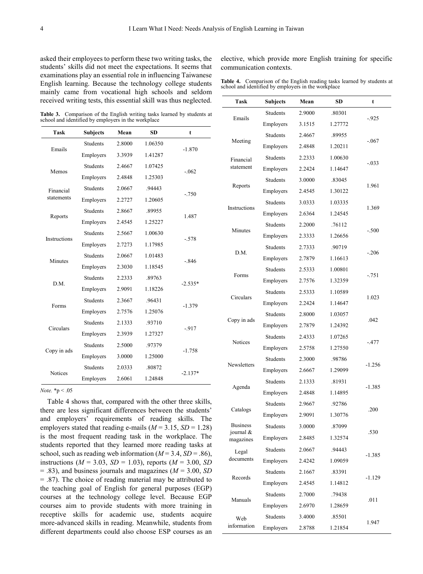asked their employees to perform these two writing tasks, the students' skills did not meet the expectations. It seems that examinations play an essential role in influencing Taiwanese English learning. Because the technology college students mainly came from vocational high schools and seldom received writing tests, this essential skill was thus neglected.

elective, which provide more English training for specific communication contexts.

**Table 4.** Comparison of the English reading tasks learned by students at school and identified by employers in the workplace

**Table 3.** Comparison of the English writing tasks learned by students at school and identified by employers in the workplace

| <b>Task</b>             | <b>Subjects</b> | Mean   | <b>SD</b> | t         |
|-------------------------|-----------------|--------|-----------|-----------|
| Emails                  | <b>Students</b> | 2.8000 | 1.06350   |           |
|                         | Employers       | 3.3939 | 1.41287   | $-1.870$  |
| Memos                   | <b>Students</b> | 2.4667 | 1.07425   |           |
|                         | Employers       | 2.4848 | 1.25303   | $-.062$   |
| Financial<br>statements | <b>Students</b> | 2.0667 | .94443    |           |
|                         | Employers       | 2.2727 | 1.20605   | $-.750$   |
| Reports                 | <b>Students</b> | 2.8667 | .89955    |           |
|                         | Employers       | 2.4545 | 1.25227   | 1.487     |
| Instructions            | <b>Students</b> | 2.5667 | 1.00630   | $-.578$   |
|                         | Employers       | 2.7273 | 1.17985   |           |
| Minutes                 | <b>Students</b> | 2.0667 | 1.01483   | $-.846$   |
|                         | Employers       | 2.3030 | 1.18545   |           |
| D.M.                    | <b>Students</b> | 2.2333 | .89763    | $-2.535*$ |
|                         | Employers       | 2.9091 | 1.18226   |           |
| Forms                   | <b>Students</b> | 2.3667 | .96431    | $-1.379$  |
|                         | Employers       | 2.7576 | 1.25076   |           |
| Circulars               | <b>Students</b> | 2.1333 | .93710    | $-917$    |
|                         | Employers       | 2.3939 | 1.27327   |           |
| Copy in ads             | <b>Students</b> | 2.5000 | .97379    | $-1.758$  |
|                         | Employers       | 3.0000 | 1.25000   |           |
| Notices                 | <b>Students</b> | 2.0333 | .80872    | $-2.137*$ |
|                         | Employers       | 2.6061 | 1.24848   |           |

*Note.* \*p < .05

Table 4 shows that, compared with the other three skills, there are less significant differences between the students' and employers' requirements of reading skills. The employers stated that reading e-mails  $(M = 3.15, SD = 1.28)$ is the most frequent reading task in the workplace. The students reported that they learned more reading tasks at school, such as reading web information  $(M = 3.4, SD = .86)$ , instructions ( $M = 3.03$ ,  $SD = 1.03$ ), reports ( $M = 3.00$ , *SD*) = .83), and business journals and magazines (*M* = 3.00, *SD* = .87). The choice of reading material may be attributed to the teaching goal of English for general purposes (EGP) courses at the technology college level. Because EGP courses aim to provide students with more training in receptive skills for academic use, students acquire more-advanced skills in reading. Meanwhile, students from different departments could also choose ESP courses as an

| Task                   | <b>Subjects</b> | Mean   | SD      | t        |
|------------------------|-----------------|--------|---------|----------|
| Emails                 | Students        | 2.9000 | .80301  |          |
|                        | Employers       | 3.1515 | 1.27772 | $-925$   |
| Meeting                | Students        | 2.4667 | .89955  | $-.067$  |
|                        | Employers       | 2.4848 | 1.20211 |          |
| Financial<br>statement | Students        | 2.2333 | 1.00630 | $-.033$  |
|                        | Employers       | 2.2424 | 1.14647 |          |
| Reports                | Students        | 3.0000 | .83045  | 1.961    |
|                        | Employers       | 2.4545 | 1.30122 |          |
|                        | Students        | 3.0333 | 1.03335 |          |
| Instructions           | Employers       | 2.6364 | 1.24545 | 1.369    |
|                        | Students        | 2.2000 | .76112  |          |
| Minutes                | Employers       | 2.3333 | 1.26656 | $-.500$  |
|                        | Students        | 2.7333 | .90719  |          |
| D.M.                   | Employers       | 2.7879 | 1.16613 | $-.206$  |
|                        | Students        | 2.5333 | 1.00801 |          |
| Forms                  | Employers       | 2.7576 | 1.32359 | $-.751$  |
|                        | Students        | 2.5333 | 1.10589 | 1.023    |
| Circulars              | Employers       | 2.2424 | 1.14647 |          |
|                        | Students        | 2.8000 | 1.03057 | .042     |
| Copy in ads            | Employers       | 2.7879 | 1.24392 |          |
|                        | Students        | 2.4333 | 1.07265 |          |
| Notices                | Employers       | 2.5758 | 1.27550 | $-.477$  |
| Newsletters            | Students        | 2.3000 | .98786  |          |
|                        | Employers       | 2.6667 | 1.29099 | -1.256   |
| Agenda                 | Students        | 2.1333 | .81931  |          |
|                        | Employers       | 2.4848 | 1.14895 | $-1.385$ |
| Catalogs               | Students        | 2.9667 | .92786  | .200     |
|                        | Employers       | 2.9091 | 1.30776 |          |
| <b>Business</b>        | Students        | 3.0000 | .87099  | .530     |
| journal &<br>magazines | Employers       | 2.8485 | 1.32574 |          |
| Legal                  | Students        | 2.0667 | .94443  | -1.385   |
| documents              | Employers       | 2.4242 | 1.09059 |          |
|                        | <b>Students</b> | 2.1667 | .83391  | $-1.129$ |
| Records                | Employers       | 2.4545 | 1.14812 |          |
| Manuals                | Students        | 2.7000 | .79438  | .011     |
|                        | Employers       | 2.6970 | 1.28659 |          |
| Web<br>information     | Students        | 3.4000 | .85501  | 1.947    |
|                        | Employers       | 2.8788 | 1.21854 |          |